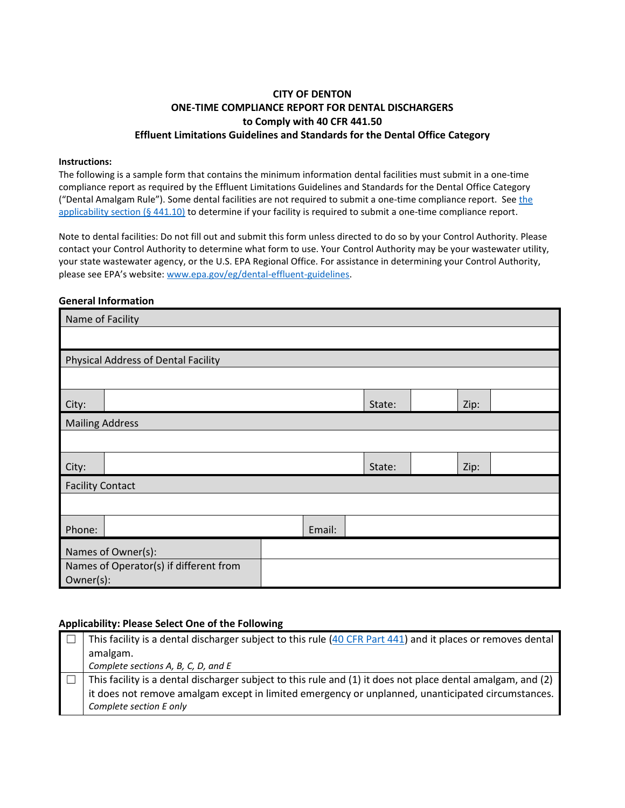### **CITY OF DENTON ONE-TIME COMPLIANCE REPORT FOR DENTAL DISCHARGERS to Comply with 40 CFR 441.50 Effluent Limitations Guidelines and Standards for the Dental Office Category**

#### **Instructions:**

The following is a sample form that contains the minimum information dental facilities must submit in a one-time compliance report as required by the Effluent Limitations Guidelines and Standards for the Dental Office Category ("Dental Amalgam Rule"). Some dental facilities are not required to submit a one-time compliance report. Se[e the](https://www.federalregister.gov/d/2017-12338/p-264)  [applicability section](https://www.federalregister.gov/d/2017-12338/p-264) (§ 441.10) to determine if your facility is required to submit a one-time compliance report.

Note to dental facilities: Do not fill out and submit this form unless directed to do so by your Control Authority. Please contact your Control Authority to determine what form to use. Your Control Authority may be your wastewater utility, your state wastewater agency, or the U.S. EPA Regional Office. For assistance in determining your Control Authority, please see EPA's website: [www.epa.gov/eg/dental-effluent-guidelines.](https://www.epa.gov/eg/dental-effluent-guidelines)

#### **General Information**

| Name of Facility                    |                                                     |  |        |        |  |      |  |
|-------------------------------------|-----------------------------------------------------|--|--------|--------|--|------|--|
|                                     |                                                     |  |        |        |  |      |  |
| Physical Address of Dental Facility |                                                     |  |        |        |  |      |  |
|                                     |                                                     |  |        |        |  |      |  |
| City:                               |                                                     |  |        | State: |  | Zip: |  |
| <b>Mailing Address</b>              |                                                     |  |        |        |  |      |  |
|                                     |                                                     |  |        |        |  |      |  |
| City:                               |                                                     |  |        | State: |  | Zip: |  |
| <b>Facility Contact</b>             |                                                     |  |        |        |  |      |  |
|                                     |                                                     |  |        |        |  |      |  |
| Phone:                              |                                                     |  | Email: |        |  |      |  |
|                                     | Names of Owner(s):                                  |  |        |        |  |      |  |
|                                     | Names of Operator(s) if different from<br>Owner(s): |  |        |        |  |      |  |

#### **Applicability: Please Select One of the Following**

| This facility is a dental discharger subject to this rule (40 CFR Part 441) and it places or removes dental |
|-------------------------------------------------------------------------------------------------------------|
| amalgam.                                                                                                    |
| Complete sections A, B, C, D, and E                                                                         |
|                                                                                                             |
| This facility is a dental discharger subject to this rule and (1) it does not place dental amalgam, and (2) |
| it does not remove amalgam except in limited emergency or unplanned, unanticipated circumstances.           |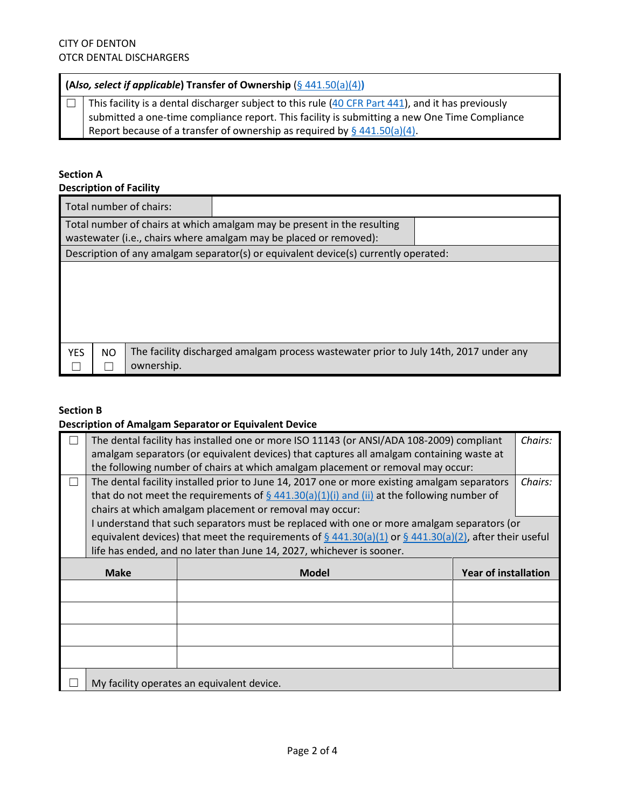### **(A***lso, select if applicable***) Transfer of Ownership** (§ [441.50\(a\)\(4\)](https://www.federalregister.gov/d/2017-12338/p-321)**)**

 $\Box$  This facility is a dental discharger subject to this rule [\(40 CFR Part 441\)](https://www.ecfr.gov/cgi-bin/text-idx?SID=c7d79f042ec05143ccc83e8a8d216342&mc=true&node=pt40.32.441&rgn=div5), and it has previously submitted a one-time compliance report. This facility is submitting a new One Time Compliance Report because of a transfer of ownership as required by  $\S$  [441.50\(a\)\(4\).](https://www.federalregister.gov/d/2017-12338/p-321)

# **Section A**

### **Description of Facility**

| Total number of chairs:                                                                                                                      |                                                                                                     |  |  |  |  |
|----------------------------------------------------------------------------------------------------------------------------------------------|-----------------------------------------------------------------------------------------------------|--|--|--|--|
| Total number of chairs at which amalgam may be present in the resulting<br>wastewater (i.e., chairs where amalgam may be placed or removed): |                                                                                                     |  |  |  |  |
|                                                                                                                                              | Description of any amalgam separator(s) or equivalent device(s) currently operated:                 |  |  |  |  |
|                                                                                                                                              |                                                                                                     |  |  |  |  |
| <b>YES</b><br>NO.                                                                                                                            | The facility discharged amalgam process wastewater prior to July 14th, 2017 under any<br>ownership. |  |  |  |  |

#### **Section B**

#### **Description of Amalgam Separator or Equivalent Device**

|             | Chairs:<br>The dental facility has installed one or more ISO 11143 (or ANSI/ADA 108-2009) compliant<br>amalgam separators (or equivalent devices) that captures all amalgam containing waste at<br>the following number of chairs at which amalgam placement or removal may occur:                    |              |                             |  |  |
|-------------|-------------------------------------------------------------------------------------------------------------------------------------------------------------------------------------------------------------------------------------------------------------------------------------------------------|--------------|-----------------------------|--|--|
|             | The dental facility installed prior to June 14, 2017 one or more existing amalgam separators<br>Chairs:<br>that do not meet the requirements of $\frac{6}{9}$ 441.30(a)(1)(i) and (ii) at the following number of                                                                                     |              |                             |  |  |
|             | chairs at which amalgam placement or removal may occur:                                                                                                                                                                                                                                               |              |                             |  |  |
|             | I understand that such separators must be replaced with one or more amalgam separators (or<br>equivalent devices) that meet the requirements of $\frac{6}{9}$ 441.30(a)(1) or $\frac{6}{9}$ 441.30(a)(2), after their useful<br>life has ended, and no later than June 14, 2027, whichever is sooner. |              |                             |  |  |
| <b>Make</b> |                                                                                                                                                                                                                                                                                                       |              | <b>Year of installation</b> |  |  |
|             |                                                                                                                                                                                                                                                                                                       | <b>Model</b> |                             |  |  |
|             |                                                                                                                                                                                                                                                                                                       |              |                             |  |  |
|             |                                                                                                                                                                                                                                                                                                       |              |                             |  |  |
|             |                                                                                                                                                                                                                                                                                                       |              |                             |  |  |
|             |                                                                                                                                                                                                                                                                                                       |              |                             |  |  |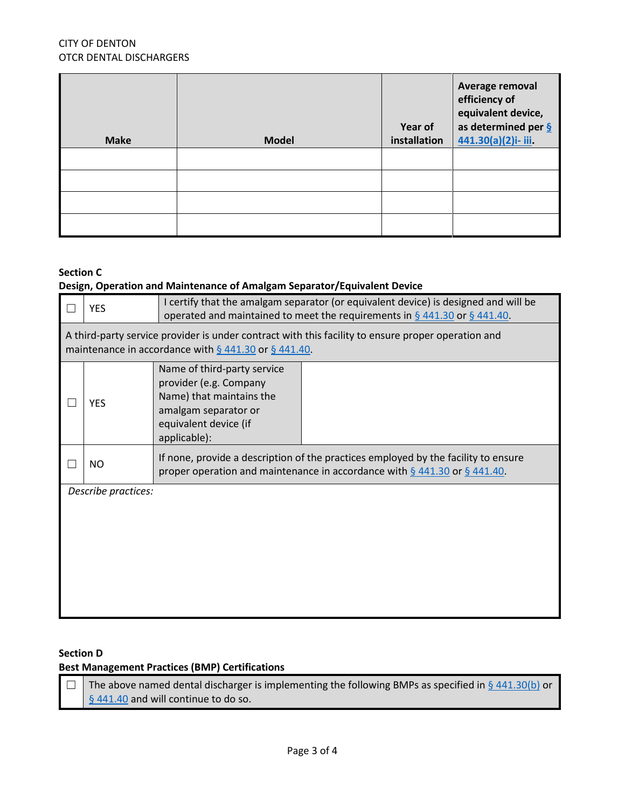### CITY OF DENTON OTCR DENTAL DISCHARGERS

| <b>Make</b> | <b>Model</b> | Year of<br>installation | Average removal<br>efficiency of<br>equivalent device,<br>as determined per $\frac{6}{2}$<br>441.30(a)(2)i-iii. |
|-------------|--------------|-------------------------|-----------------------------------------------------------------------------------------------------------------|
|             |              |                         |                                                                                                                 |
|             |              |                         |                                                                                                                 |
|             |              |                         |                                                                                                                 |
|             |              |                         |                                                                                                                 |

#### **Section C**

## **Design, Operation and Maintenance of Amalgam Separator/Equivalent Device**

| <b>YES</b>                                                                                                                                                       | I certify that the amalgam separator (or equivalent device) is designed and will be<br>operated and maintained to meet the requirements in $\S$ 441.30 or $\S$ 441.40. |  |  |  |
|------------------------------------------------------------------------------------------------------------------------------------------------------------------|------------------------------------------------------------------------------------------------------------------------------------------------------------------------|--|--|--|
| A third-party service provider is under contract with this facility to ensure proper operation and<br>maintenance in accordance with $\S$ 441.30 or $\S$ 441.40. |                                                                                                                                                                        |  |  |  |
| <b>YES</b>                                                                                                                                                       | Name of third-party service<br>provider (e.g. Company<br>Name) that maintains the<br>amalgam separator or<br>equivalent device (if<br>applicable):                     |  |  |  |
| NO.                                                                                                                                                              | If none, provide a description of the practices employed by the facility to ensure<br>proper operation and maintenance in accordance with $\S$ 441.30 or $\S$ 441.40.  |  |  |  |
| Describe practices:                                                                                                                                              |                                                                                                                                                                        |  |  |  |

### **Section D**

## **Best Management Practices (BMP) Certifications**

 $\Box$  The above named dental discharger is implementing the following BMPs as specified in § [441.30\(b\)](https://www.federalregister.gov/d/2017-12338/p-299) or [§ 441.40](https://www.federalregister.gov/d/2017-12338/p-309) and will continue to do so.